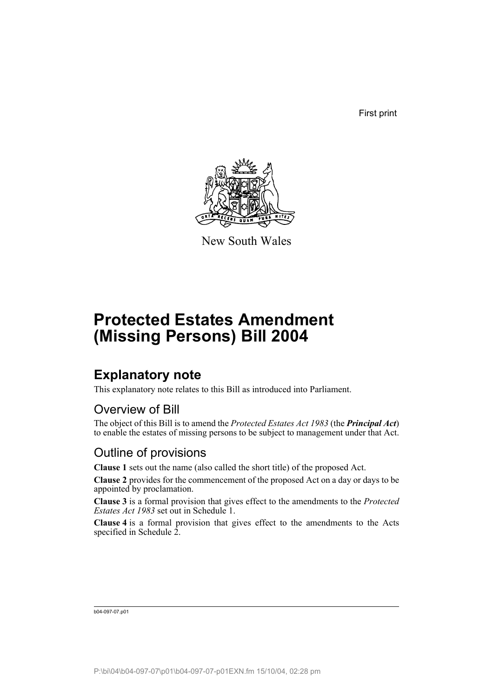First print



New South Wales

# **Protected Estates Amendment (Missing Persons) Bill 2004**

# **Explanatory note**

This explanatory note relates to this Bill as introduced into Parliament.

## Overview of Bill

The object of this Bill is to amend the *Protected Estates Act 1983* (the *Principal Act*) to enable the estates of missing persons to be subject to management under that Act.

## Outline of provisions

**Clause 1** sets out the name (also called the short title) of the proposed Act.

**Clause 2** provides for the commencement of the proposed Act on a day or days to be appointed by proclamation.

**Clause 3** is a formal provision that gives effect to the amendments to the *Protected Estates Act 1983* set out in Schedule 1.

**Clause 4** is a formal provision that gives effect to the amendments to the Acts specified in Schedule 2.

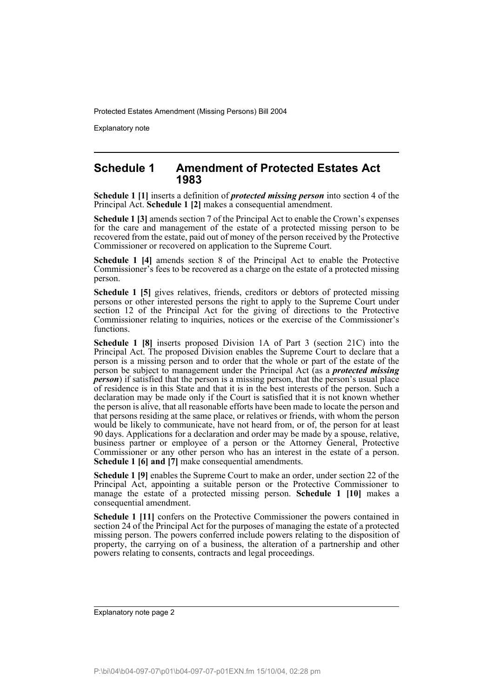Explanatory note

#### **Schedule 1 Amendment of Protected Estates Act 1983**

**Schedule 1 [1]** inserts a definition of *protected missing person* into section 4 of the Principal Act. **Schedule 1 [2]** makes a consequential amendment.

**Schedule 1 [3]** amends section 7 of the Principal Act to enable the Crown's expenses for the care and management of the estate of a protected missing person to be recovered from the estate, paid out of money of the person received by the Protective Commissioner or recovered on application to the Supreme Court.

**Schedule 1 [4]** amends section 8 of the Principal Act to enable the Protective Commissioner's fees to be recovered as a charge on the estate of a protected missing person.

**Schedule 1 [5]** gives relatives, friends, creditors or debtors of protected missing persons or other interested persons the right to apply to the Supreme Court under section 12 of the Principal Act for the giving of directions to the Protective Commissioner relating to inquiries, notices or the exercise of the Commissioner's functions.

**Schedule 1 [8]** inserts proposed Division 1A of Part 3 (section 21C) into the Principal Act. The proposed Division enables the Supreme Court to declare that a person is a missing person and to order that the whole or part of the estate of the person be subject to management under the Principal Act (as a *protected missing person*) if satisfied that the person is a missing person, that the person's usual place of residence is in this State and that it is in the best interests of the person. Such a declaration may be made only if the Court is satisfied that it is not known whether the person is alive, that all reasonable efforts have been made to locate the person and that persons residing at the same place, or relatives or friends, with whom the person would be likely to communicate, have not heard from, or of, the person for at least 90 days. Applications for a declaration and order may be made by a spouse, relative, business partner or employee of a person or the Attorney General, Protective Commissioner or any other person who has an interest in the estate of a person. **Schedule 1 [6] and [7]** make consequential amendments.

**Schedule 1 [9]** enables the Supreme Court to make an order, under section 22 of the Principal Act, appointing a suitable person or the Protective Commissioner to manage the estate of a protected missing person. **Schedule 1 [10]** makes a consequential amendment.

**Schedule 1 [11]** confers on the Protective Commissioner the powers contained in section 24 of the Principal Act for the purposes of managing the estate of a protected missing person. The powers conferred include powers relating to the disposition of property, the carrying on of a business, the alteration of a partnership and other powers relating to consents, contracts and legal proceedings.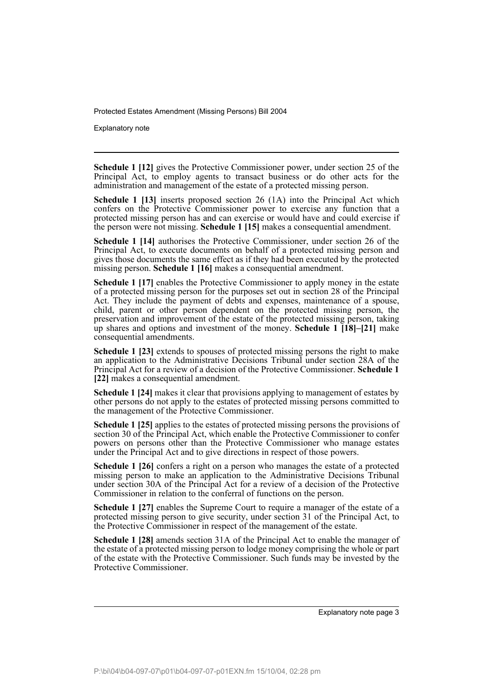Explanatory note

**Schedule 1 [12]** gives the Protective Commissioner power, under section 25 of the Principal Act, to employ agents to transact business or do other acts for the administration and management of the estate of a protected missing person.

**Schedule 1 [13]** inserts proposed section 26 (1A) into the Principal Act which confers on the Protective Commissioner power to exercise any function that a protected missing person has and can exercise or would have and could exercise if the person were not missing. **Schedule 1 [15]** makes a consequential amendment.

**Schedule 1 [14]** authorises the Protective Commissioner, under section 26 of the Principal Act, to execute documents on behalf of a protected missing person and gives those documents the same effect as if they had been executed by the protected missing person. **Schedule 1 [16]** makes a consequential amendment.

**Schedule 1 [17]** enables the Protective Commissioner to apply money in the estate of a protected missing person for the purposes set out in section 28 of the Principal Act. They include the payment of debts and expenses, maintenance of a spouse, child, parent or other person dependent on the protected missing person, the preservation and improvement of the estate of the protected missing person, taking up shares and options and investment of the money. **Schedule 1 [18]–[21]** make consequential amendments.

**Schedule 1 [23]** extends to spouses of protected missing persons the right to make an application to the Administrative Decisions Tribunal under section 28A of the Principal Act for a review of a decision of the Protective Commissioner. **Schedule 1 [22]** makes a consequential amendment.

**Schedule 1 [24]** makes it clear that provisions applying to management of estates by other persons do not apply to the estates of protected missing persons committed to the management of the Protective Commissioner.

**Schedule 1 [25]** applies to the estates of protected missing persons the provisions of section 30 of the Principal Act, which enable the Protective Commissioner to confer powers on persons other than the Protective Commissioner who manage estates under the Principal Act and to give directions in respect of those powers.

**Schedule 1 [26]** confers a right on a person who manages the estate of a protected missing person to make an application to the Administrative Decisions Tribunal under section 30A of the Principal Act for a review of a decision of the Protective Commissioner in relation to the conferral of functions on the person.

**Schedule 1 [27]** enables the Supreme Court to require a manager of the estate of a protected missing person to give security, under section 31 of the Principal Act, to the Protective Commissioner in respect of the management of the estate.

**Schedule 1 [28]** amends section 31A of the Principal Act to enable the manager of the estate of a protected missing person to lodge money comprising the whole or part of the estate with the Protective Commissioner. Such funds may be invested by the Protective Commissioner.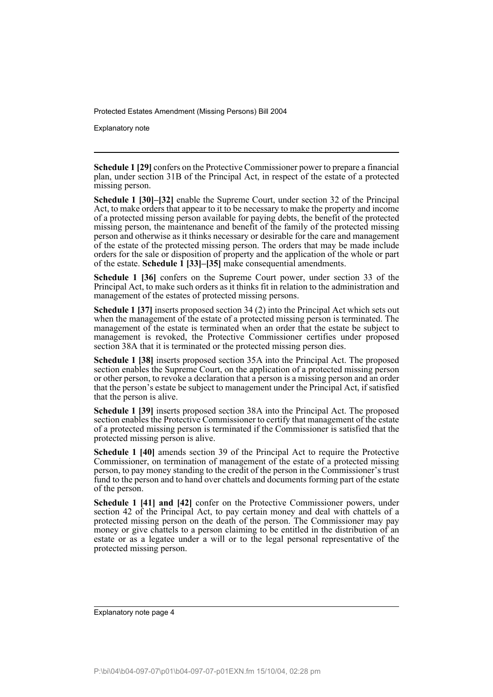Explanatory note

**Schedule 1 [29]** confers on the Protective Commissioner power to prepare a financial plan, under section 31B of the Principal Act, in respect of the estate of a protected missing person.

**Schedule 1 [30]–[32]** enable the Supreme Court, under section 32 of the Principal Act, to make orders that appear to it to be necessary to make the property and income of a protected missing person available for paying debts, the benefit of the protected missing person, the maintenance and benefit of the family of the protected missing person and otherwise as it thinks necessary or desirable for the care and management of the estate of the protected missing person. The orders that may be made include orders for the sale or disposition of property and the application of the whole or part of the estate. **Schedule 1 [33]–[35]** make consequential amendments.

**Schedule 1 [36]** confers on the Supreme Court power, under section 33 of the Principal Act, to make such orders as it thinks fit in relation to the administration and management of the estates of protected missing persons.

**Schedule 1 [37]** inserts proposed section 34 (2) into the Principal Act which sets out when the management of the estate of a protected missing person is terminated. The management of the estate is terminated when an order that the estate be subject to management is revoked, the Protective Commissioner certifies under proposed section 38A that it is terminated or the protected missing person dies.

**Schedule 1 [38]** inserts proposed section 35A into the Principal Act. The proposed section enables the Supreme Court, on the application of a protected missing person or other person, to revoke a declaration that a person is a missing person and an order that the person's estate be subject to management under the Principal Act, if satisfied that the person is alive.

**Schedule 1 [39]** inserts proposed section 38A into the Principal Act. The proposed section enables the Protective Commissioner to certify that management of the estate of a protected missing person is terminated if the Commissioner is satisfied that the protected missing person is alive.

**Schedule 1 [40]** amends section 39 of the Principal Act to require the Protective Commissioner, on termination of management of the estate of a protected missing person, to pay money standing to the credit of the person in the Commissioner's trust fund to the person and to hand over chattels and documents forming part of the estate of the person.

**Schedule 1 [41] and [42]** confer on the Protective Commissioner powers, under section 42 of the Principal Act, to pay certain money and deal with chattels of a protected missing person on the death of the person. The Commissioner may pay money or give chattels to a person claiming to be entitled in the distribution of an estate or as a legatee under a will or to the legal personal representative of the protected missing person.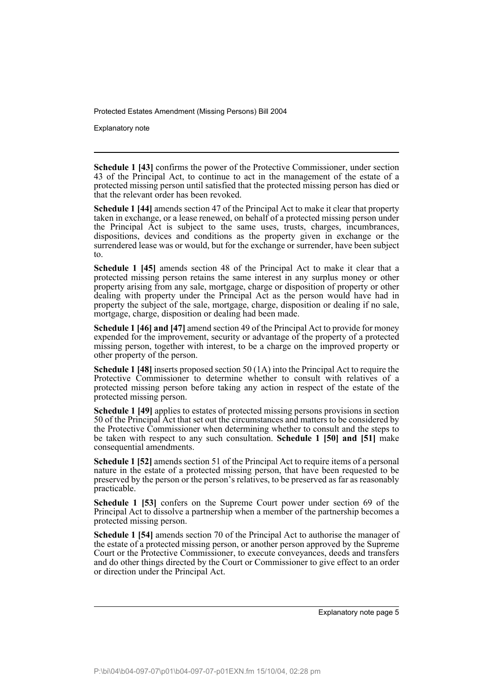Explanatory note

**Schedule 1 [43]** confirms the power of the Protective Commissioner, under section 43 of the Principal Act, to continue to act in the management of the estate of a protected missing person until satisfied that the protected missing person has died or that the relevant order has been revoked.

**Schedule 1 [44]** amends section 47 of the Principal Act to make it clear that property taken in exchange, or a lease renewed, on behalf of a protected missing person under the Principal Act is subject to the same uses, trusts, charges, incumbrances, dispositions, devices and conditions as the property given in exchange or the surrendered lease was or would, but for the exchange or surrender, have been subject to.

**Schedule 1 [45]** amends section 48 of the Principal Act to make it clear that a protected missing person retains the same interest in any surplus money or other property arising from any sale, mortgage, charge or disposition of property or other dealing with property under the Principal Act as the person would have had in property the subject of the sale, mortgage, charge, disposition or dealing if no sale, mortgage, charge, disposition or dealing had been made.

**Schedule 1 [46] and [47]** amend section 49 of the Principal Act to provide for money expended for the improvement, security or advantage of the property of a protected missing person, together with interest, to be a charge on the improved property or other property of the person.

**Schedule 1 [48]** inserts proposed section 50 (1A) into the Principal Act to require the Protective Commissioner to determine whether to consult with relatives of a protected missing person before taking any action in respect of the estate of the protected missing person.

**Schedule 1 [49]** applies to estates of protected missing persons provisions in section 50 of the Principal Act that set out the circumstances and matters to be considered by the Protective Commissioner when determining whether to consult and the steps to be taken with respect to any such consultation. **Schedule 1 [50] and [51]** make consequential amendments.

**Schedule 1 [52]** amends section 51 of the Principal Act to require items of a personal nature in the estate of a protected missing person, that have been requested to be preserved by the person or the person's relatives, to be preserved as far as reasonably practicable.

**Schedule 1 [53]** confers on the Supreme Court power under section 69 of the Principal Act to dissolve a partnership when a member of the partnership becomes a protected missing person.

**Schedule 1 [54]** amends section 70 of the Principal Act to authorise the manager of the estate of a protected missing person, or another person approved by the Supreme Court or the Protective Commissioner, to execute conveyances, deeds and transfers and do other things directed by the Court or Commissioner to give effect to an order or direction under the Principal Act.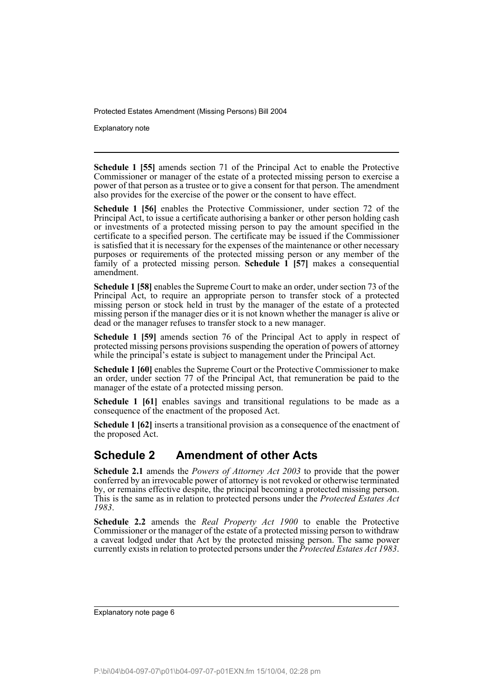Explanatory note

**Schedule 1 [55]** amends section 71 of the Principal Act to enable the Protective Commissioner or manager of the estate of a protected missing person to exercise a power of that person as a trustee or to give a consent for that person. The amendment also provides for the exercise of the power or the consent to have effect.

**Schedule 1 [56]** enables the Protective Commissioner, under section 72 of the Principal Act, to issue a certificate authorising a banker or other person holding cash or investments of a protected missing person to pay the amount specified in the certificate to a specified person. The certificate may be issued if the Commissioner is satisfied that it is necessary for the expenses of the maintenance or other necessary purposes or requirements of the protected missing person or any member of the family of a protected missing person. **Schedule 1 [57]** makes a consequential amendment.

**Schedule 1 [58]** enables the Supreme Court to make an order, under section 73 of the Principal Act, to require an appropriate person to transfer stock of a protected missing person or stock held in trust by the manager of the estate of a protected missing person if the manager dies or it is not known whether the manager is alive or dead or the manager refuses to transfer stock to a new manager.

**Schedule 1 [59]** amends section 76 of the Principal Act to apply in respect of protected missing persons provisions suspending the operation of powers of attorney while the principal's estate is subject to management under the Principal Act.

**Schedule 1 [60]** enables the Supreme Court or the Protective Commissioner to make an order, under section 77 of the Principal Act, that remuneration be paid to the manager of the estate of a protected missing person.

**Schedule 1 [61]** enables savings and transitional regulations to be made as a consequence of the enactment of the proposed Act.

**Schedule 1 [62]** inserts a transitional provision as a consequence of the enactment of the proposed Act.

## **Schedule 2 Amendment of other Acts**

**Schedule 2.1** amends the *Powers of Attorney Act 2003* to provide that the power conferred by an irrevocable power of attorney is not revoked or otherwise terminated by, or remains effective despite, the principal becoming a protected missing person. This is the same as in relation to protected persons under the *Protected Estates Act 1983*.

**Schedule 2.2** amends the *Real Property Act 1900* to enable the Protective Commissioner or the manager of the estate of a protected missing person to withdraw a caveat lodged under that Act by the protected missing person. The same power currently exists in relation to protected persons under the *Protected Estates Act 1983*.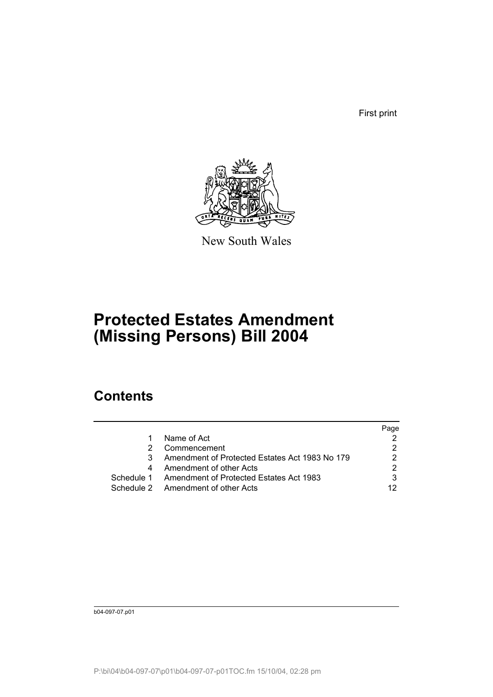First print



New South Wales

# **Protected Estates Amendment (Missing Persons) Bill 2004**

# **Contents**

|            |                                                | Page |
|------------|------------------------------------------------|------|
|            | Name of Act                                    |      |
|            | Commencement                                   |      |
|            | Amendment of Protected Estates Act 1983 No 179 |      |
|            | Amendment of other Acts                        |      |
| Schedule 1 | Amendment of Protected Estates Act 1983        |      |
|            | Schedule 2 Amendment of other Acts             | 12   |
|            |                                                |      |

b04-097-07.p01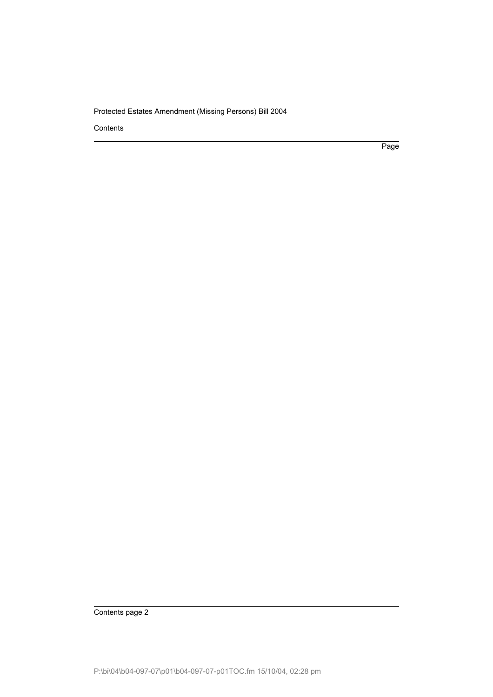**Contents** 

Page

Contents page 2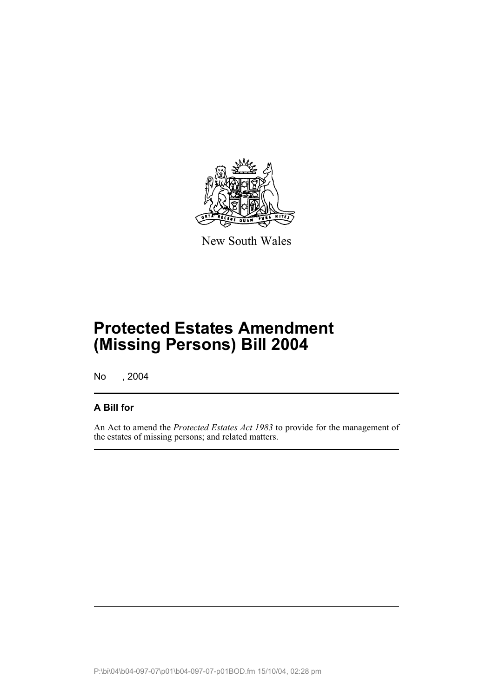

New South Wales

# **Protected Estates Amendment (Missing Persons) Bill 2004**

No , 2004

## **A Bill for**

An Act to amend the *Protected Estates Act 1983* to provide for the management of the estates of missing persons; and related matters.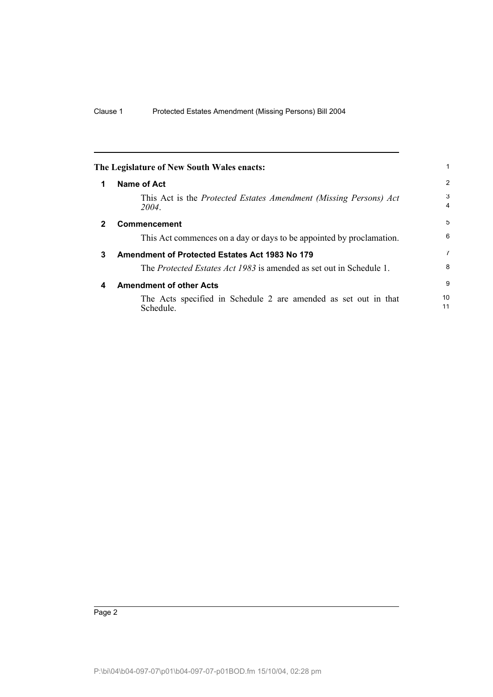<span id="page-9-3"></span><span id="page-9-2"></span><span id="page-9-1"></span><span id="page-9-0"></span>

|              | The Legislature of New South Wales enacts:                                        |                |
|--------------|-----------------------------------------------------------------------------------|----------------|
| 1            | <b>Name of Act</b>                                                                | $\overline{2}$ |
|              | This Act is the <i>Protected Estates Amendment (Missing Persons) Act</i><br>2004. | 3<br>4         |
| $\mathbf{2}$ | Commencement                                                                      | 5              |
|              | This Act commences on a day or days to be appointed by proclamation.              | 6              |
| 3            | Amendment of Protected Estates Act 1983 No 179                                    | 7              |
|              | The <i>Protected Estates Act 1983</i> is amended as set out in Schedule 1.        | 8              |
| 4            | <b>Amendment of other Acts</b>                                                    | 9              |
|              | The Acts specified in Schedule 2 are amended as set out in that<br>Schedule.      | 10<br>11       |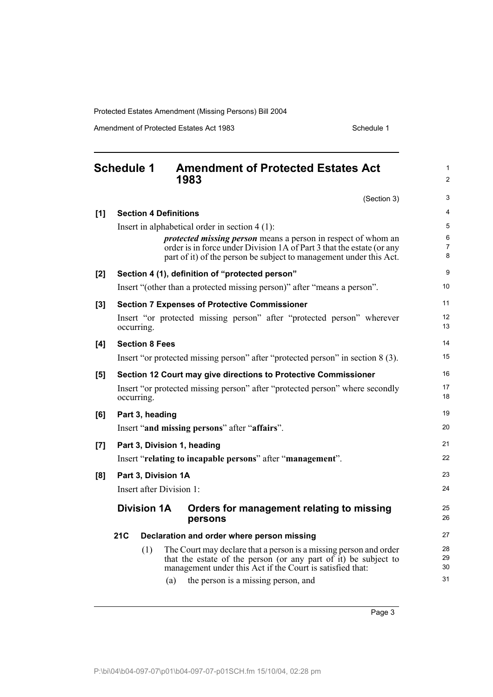Amendment of Protected Estates Act 1983 Schedule 1

<span id="page-10-0"></span>

|       | <b>Schedule 1</b><br><b>Amendment of Protected Estates Act</b><br>1983                                                                      | 1<br>$\overline{2}$ |
|-------|---------------------------------------------------------------------------------------------------------------------------------------------|---------------------|
|       | (Section 3)                                                                                                                                 | 3                   |
| [1]   | <b>Section 4 Definitions</b>                                                                                                                | 4                   |
|       | Insert in alphabetical order in section $4(1)$ :                                                                                            | 5                   |
|       | <i>protected missing person</i> means a person in respect of whom an                                                                        | 6<br>$\overline{7}$ |
|       | order is in force under Division 1A of Part 3 that the estate (or any<br>part of it) of the person be subject to management under this Act. | 8                   |
| [2]   | Section 4 (1), definition of "protected person"                                                                                             | 9                   |
|       | Insert "(other than a protected missing person)" after "means a person".                                                                    | 10                  |
| [3]   | <b>Section 7 Expenses of Protective Commissioner</b>                                                                                        | 11                  |
|       | Insert "or protected missing person" after "protected person" wherever<br>occurring.                                                        | 12<br>13            |
| [4]   | <b>Section 8 Fees</b>                                                                                                                       | 14                  |
|       | Insert "or protected missing person" after "protected person" in section 8 (3).                                                             | 15                  |
| [5]   | Section 12 Court may give directions to Protective Commissioner                                                                             | 16                  |
|       | Insert "or protected missing person" after "protected person" where secondly<br>occurring.                                                  | 17<br>18            |
| [6]   | Part 3, heading                                                                                                                             | 19                  |
|       | Insert "and missing persons" after "affairs".                                                                                               | 20                  |
| $[7]$ | Part 3, Division 1, heading                                                                                                                 | 21                  |
|       | Insert "relating to incapable persons" after "management".                                                                                  | 22                  |
| [8]   | Part 3, Division 1A                                                                                                                         | 23                  |
|       | Insert after Division 1:                                                                                                                    | 24                  |
|       | <b>Division 1A</b><br>Orders for management relating to missing<br>persons                                                                  | 25<br>26            |
|       | <b>21C</b><br>Declaration and order where person missing                                                                                    | 27                  |
|       | (1)<br>The Court may declare that a person is a missing person and order                                                                    | 28                  |
|       | that the estate of the person (or any part of it) be subject to<br>management under this Act if the Court is satisfied that:                | 29<br>30            |
|       | the person is a missing person, and<br>(a)                                                                                                  | 31                  |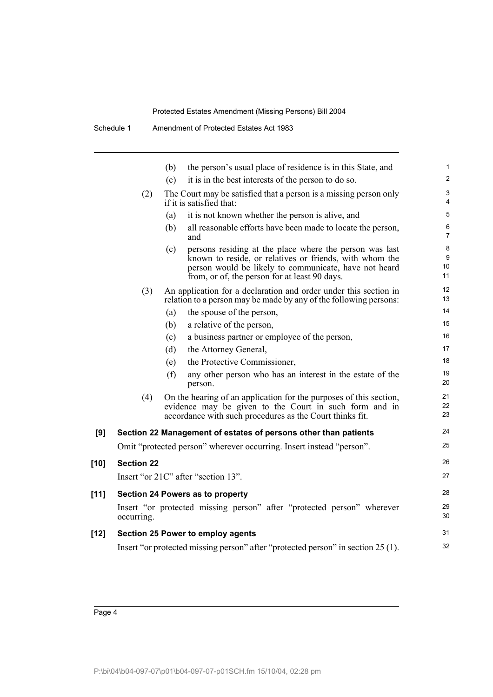Schedule 1 Amendment of Protected Estates Act 1983

|        |                   | the person's usual place of residence is in this State, and<br>(b)                                                                                                                                                                  |  |
|--------|-------------------|-------------------------------------------------------------------------------------------------------------------------------------------------------------------------------------------------------------------------------------|--|
|        |                   | it is in the best interests of the person to do so.<br>(c)                                                                                                                                                                          |  |
|        | (2)               | The Court may be satisfied that a person is a missing person only<br>if it is satisfied that:                                                                                                                                       |  |
|        |                   | it is not known whether the person is alive, and<br>(a)                                                                                                                                                                             |  |
|        |                   | all reasonable efforts have been made to locate the person,<br>(b)<br>and                                                                                                                                                           |  |
|        |                   | persons residing at the place where the person was last<br>(c)<br>known to reside, or relatives or friends, with whom the<br>person would be likely to communicate, have not heard<br>from, or of, the person for at least 90 days. |  |
|        | (3)               | An application for a declaration and order under this section in<br>relation to a person may be made by any of the following persons:                                                                                               |  |
|        |                   | the spouse of the person,<br>(a)                                                                                                                                                                                                    |  |
|        |                   | a relative of the person,<br>(b)                                                                                                                                                                                                    |  |
|        |                   | a business partner or employee of the person,<br>(c)                                                                                                                                                                                |  |
|        |                   | the Attorney General,<br>(d)                                                                                                                                                                                                        |  |
|        |                   | the Protective Commissioner,<br>(e)                                                                                                                                                                                                 |  |
|        |                   | (f)<br>any other person who has an interest in the estate of the<br>person.                                                                                                                                                         |  |
|        | (4)               | On the hearing of an application for the purposes of this section,<br>evidence may be given to the Court in such form and in<br>accordance with such procedures as the Court thinks fit.                                            |  |
| [9]    |                   | Section 22 Management of estates of persons other than patients                                                                                                                                                                     |  |
|        |                   | Omit "protected person" wherever occurring. Insert instead "person".                                                                                                                                                                |  |
| $[10]$ | <b>Section 22</b> |                                                                                                                                                                                                                                     |  |
|        |                   | Insert "or 21C" after "section 13".                                                                                                                                                                                                 |  |
| $[11]$ |                   | Section 24 Powers as to property                                                                                                                                                                                                    |  |
|        | occurring.        | Insert "or protected missing person" after "protected person" wherever                                                                                                                                                              |  |
| $[12]$ |                   | Section 25 Power to employ agents                                                                                                                                                                                                   |  |
|        |                   | Insert "or protected missing person" after "protected person" in section 25 (1).                                                                                                                                                    |  |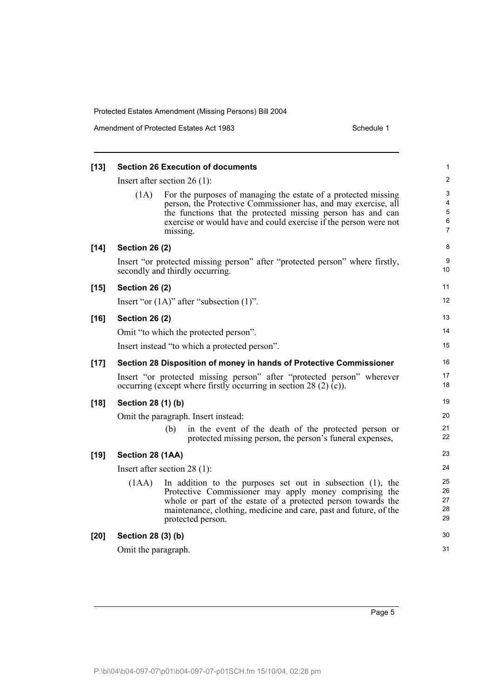Amendment of Protected Estates Act 1983 Schedule 1

| $[13]$ |                       | <b>Section 26 Execution of documents</b>                                                                                                                                                                                                                                           | 1                          |
|--------|-----------------------|------------------------------------------------------------------------------------------------------------------------------------------------------------------------------------------------------------------------------------------------------------------------------------|----------------------------|
|        |                       | Insert after section $26(1)$ :                                                                                                                                                                                                                                                     | $\overline{\mathbf{c}}$    |
|        | (1A)                  | For the purposes of managing the estate of a protected missing<br>person, the Protective Commissioner has, and may exercise, all<br>the functions that the protected missing person has and can<br>exercise or would have and could exercise if the person were not<br>missing.    | 3<br>4<br>5<br>6<br>7      |
| $[14]$ | <b>Section 26 (2)</b> |                                                                                                                                                                                                                                                                                    | 8                          |
|        |                       | Insert "or protected missing person" after "protected person" where firstly,<br>secondly and thirdly occurring.                                                                                                                                                                    | 9<br>10                    |
| $[15]$ | <b>Section 26 (2)</b> |                                                                                                                                                                                                                                                                                    | 11                         |
|        |                       | Insert "or $(1A)$ " after "subsection $(1)$ ".                                                                                                                                                                                                                                     | 12                         |
| $[16]$ | <b>Section 26 (2)</b> |                                                                                                                                                                                                                                                                                    | 13                         |
|        |                       | Omit "to which the protected person".                                                                                                                                                                                                                                              | 14                         |
|        |                       | Insert instead "to which a protected person".                                                                                                                                                                                                                                      | 15                         |
| $[17]$ |                       | Section 28 Disposition of money in hands of Protective Commissioner                                                                                                                                                                                                                | 16                         |
|        |                       | Insert "or protected missing person" after "protected person" wherever<br>occurring (except where firstly occurring in section 28 (2) $(c)$ ).                                                                                                                                     | 17<br>18                   |
| $[18]$ | Section 28 (1) (b)    |                                                                                                                                                                                                                                                                                    | 19                         |
|        |                       | Omit the paragraph. Insert instead:                                                                                                                                                                                                                                                | 20                         |
|        |                       | in the event of the death of the protected person or<br>(b)<br>protected missing person, the person's funeral expenses,                                                                                                                                                            | 21<br>22                   |
| $[19]$ | Section 28 (1AA)      |                                                                                                                                                                                                                                                                                    | 23                         |
|        |                       | Insert after section $28(1)$ :                                                                                                                                                                                                                                                     | 24                         |
|        | (1AA)                 | In addition to the purposes set out in subsection $(1)$ , the<br>Protective Commissioner may apply money comprising the<br>whole or part of the estate of a protected person towards the<br>maintenance, clothing, medicine and care, past and future, of the<br>protected person. | 25<br>26<br>27<br>28<br>29 |
| [20]   | Section 28 (3) (b)    |                                                                                                                                                                                                                                                                                    | 30                         |
|        | Omit the paragraph.   |                                                                                                                                                                                                                                                                                    | 31                         |
|        |                       |                                                                                                                                                                                                                                                                                    |                            |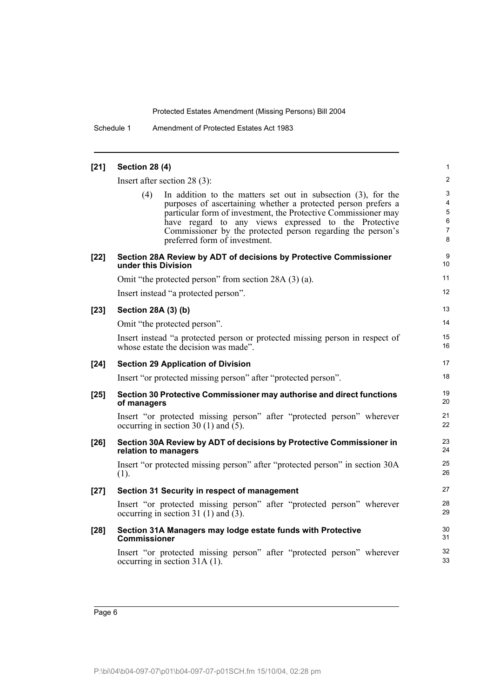Schedule 1 Amendment of Protected Estates Act 1983

| $[21]$ | <b>Section 28 (4)</b>                                                                                                                                                                                                                                                                                                                                              | 1                          |
|--------|--------------------------------------------------------------------------------------------------------------------------------------------------------------------------------------------------------------------------------------------------------------------------------------------------------------------------------------------------------------------|----------------------------|
|        | Insert after section $28(3)$ :                                                                                                                                                                                                                                                                                                                                     | 2                          |
|        | (4)<br>In addition to the matters set out in subsection $(3)$ , for the<br>purposes of ascertaining whether a protected person prefers a<br>particular form of investment, the Protective Commissioner may<br>have regard to any views expressed to the Protective<br>Commissioner by the protected person regarding the person's<br>preferred form of investment. | 3<br>4<br>5<br>6<br>7<br>8 |
| $[22]$ | Section 28A Review by ADT of decisions by Protective Commissioner<br>under this Division                                                                                                                                                                                                                                                                           | 9<br>10                    |
|        | Omit "the protected person" from section 28A (3) (a).                                                                                                                                                                                                                                                                                                              | 11                         |
|        | Insert instead "a protected person".                                                                                                                                                                                                                                                                                                                               | 12                         |
| $[23]$ | Section 28A (3) (b)                                                                                                                                                                                                                                                                                                                                                | 13                         |
|        | Omit "the protected person".                                                                                                                                                                                                                                                                                                                                       | 14                         |
|        | Insert instead "a protected person or protected missing person in respect of<br>whose estate the decision was made".                                                                                                                                                                                                                                               | 15<br>16                   |
| $[24]$ | <b>Section 29 Application of Division</b>                                                                                                                                                                                                                                                                                                                          | 17                         |
|        | Insert "or protected missing person" after "protected person".                                                                                                                                                                                                                                                                                                     | 18                         |
| $[25]$ | Section 30 Protective Commissioner may authorise and direct functions<br>of managers                                                                                                                                                                                                                                                                               | 19<br>20                   |
|        | Insert "or protected missing person" after "protected person" wherever<br>occurring in section 30 (1) and $(5)$ .                                                                                                                                                                                                                                                  | 21<br>22                   |
| $[26]$ | Section 30A Review by ADT of decisions by Protective Commissioner in<br>relation to managers                                                                                                                                                                                                                                                                       | 23<br>24                   |
|        | Insert "or protected missing person" after "protected person" in section 30A<br>(1).                                                                                                                                                                                                                                                                               | 25<br>26                   |
| $[27]$ | Section 31 Security in respect of management                                                                                                                                                                                                                                                                                                                       | 27                         |
|        | Insert "or protected missing person" after "protected person" wherever<br>occurring in section 31 (1) and $(3)$ .                                                                                                                                                                                                                                                  | 28<br>29                   |
| $[28]$ | Section 31A Managers may lodge estate funds with Protective<br><b>Commissioner</b>                                                                                                                                                                                                                                                                                 | 30<br>31                   |
|        | Insert "or protected missing person" after "protected person" wherever<br>occurring in section 31A (1).                                                                                                                                                                                                                                                            | 32<br>33                   |
|        |                                                                                                                                                                                                                                                                                                                                                                    |                            |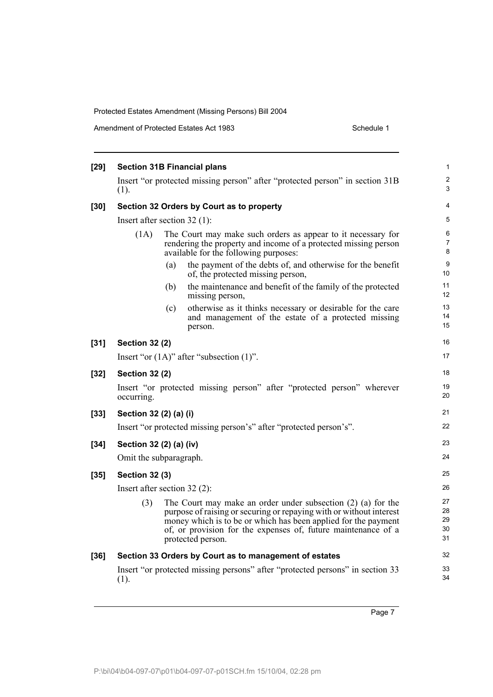| $[29]$ |                                |     | <b>Section 31B Financial plans</b>                                                                                                                                                                                                                                                              | $\mathbf{1}$               |
|--------|--------------------------------|-----|-------------------------------------------------------------------------------------------------------------------------------------------------------------------------------------------------------------------------------------------------------------------------------------------------|----------------------------|
|        | (1).                           |     | Insert "or protected missing person" after "protected person" in section 31B                                                                                                                                                                                                                    | $\overline{c}$<br>3        |
| $[30]$ |                                |     | Section 32 Orders by Court as to property                                                                                                                                                                                                                                                       | 4                          |
|        | Insert after section $32(1)$ : |     |                                                                                                                                                                                                                                                                                                 | 5                          |
|        | (1A)                           |     | The Court may make such orders as appear to it necessary for<br>rendering the property and income of a protected missing person<br>available for the following purposes:                                                                                                                        | 6<br>$\overline{7}$<br>8   |
|        |                                | (a) | the payment of the debts of, and otherwise for the benefit<br>of, the protected missing person,                                                                                                                                                                                                 | 9<br>10                    |
|        |                                | (b) | the maintenance and benefit of the family of the protected<br>missing person,                                                                                                                                                                                                                   | 11<br>12                   |
|        |                                | (c) | otherwise as it thinks necessary or desirable for the care<br>and management of the estate of a protected missing<br>person.                                                                                                                                                                    | 13<br>14<br>15             |
| $[31]$ | <b>Section 32 (2)</b>          |     |                                                                                                                                                                                                                                                                                                 | 16                         |
|        |                                |     | Insert "or $(1A)$ " after "subsection $(1)$ ".                                                                                                                                                                                                                                                  | 17                         |
| $[32]$ | <b>Section 32 (2)</b>          |     |                                                                                                                                                                                                                                                                                                 | 18                         |
|        | occurring.                     |     | Insert "or protected missing person" after "protected person" wherever                                                                                                                                                                                                                          | 19<br>20                   |
| $[33]$ | Section 32 (2) (a) (i)         |     |                                                                                                                                                                                                                                                                                                 | 21                         |
|        |                                |     | Insert "or protected missing person's" after "protected person's".                                                                                                                                                                                                                              | 22                         |
| $[34]$ | Section 32 (2) (a) (iv)        |     |                                                                                                                                                                                                                                                                                                 | 23                         |
|        | Omit the subparagraph.         |     |                                                                                                                                                                                                                                                                                                 | 24                         |
| $[35]$ | <b>Section 32 (3)</b>          |     |                                                                                                                                                                                                                                                                                                 | 25                         |
|        | Insert after section $32$ (2): |     |                                                                                                                                                                                                                                                                                                 | 26                         |
|        | (3)                            |     | The Court may make an order under subsection $(2)$ $(a)$ for the<br>purpose of raising or securing or repaying with or without interest<br>money which is to be or which has been applied for the payment<br>of, or provision for the expenses of, future maintenance of a<br>protected person. | 27<br>28<br>29<br>30<br>31 |
| $[36]$ |                                |     | Section 33 Orders by Court as to management of estates                                                                                                                                                                                                                                          | 32                         |
|        | (1).                           |     | Insert "or protected missing persons" after "protected persons" in section 33                                                                                                                                                                                                                   | 33<br>34                   |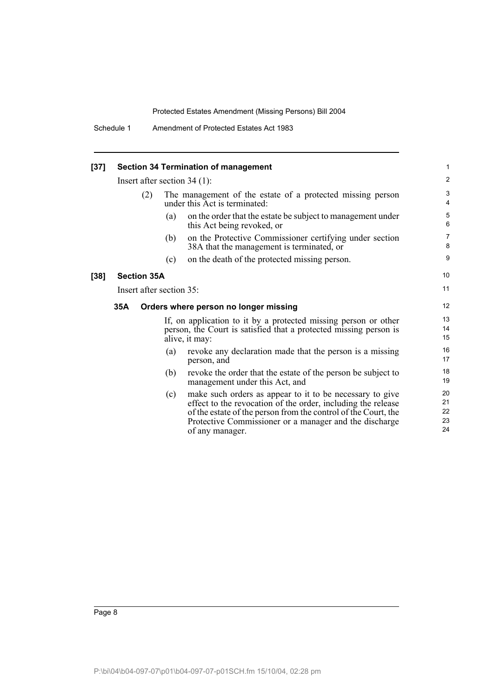| $[37]$ |                          |                    |     | <b>Section 34 Termination of management</b>                                                                                                                                                                                                                             | 1                          |
|--------|--------------------------|--------------------|-----|-------------------------------------------------------------------------------------------------------------------------------------------------------------------------------------------------------------------------------------------------------------------------|----------------------------|
|        |                          |                    |     | Insert after section $34(1)$ :                                                                                                                                                                                                                                          | $\overline{2}$             |
|        |                          | (2)                |     | The management of the estate of a protected missing person<br>under this Act is terminated:                                                                                                                                                                             | 3<br>4                     |
|        |                          |                    | (a) | on the order that the estate be subject to management under<br>this Act being revoked, or                                                                                                                                                                               | $\mathbf 5$<br>6           |
|        |                          |                    | (b) | on the Protective Commissioner certifying under section<br>38A that the management is terminated, or                                                                                                                                                                    | $\overline{7}$<br>8        |
|        |                          |                    | (c) | on the death of the protected missing person.                                                                                                                                                                                                                           | 9                          |
| $[38]$ |                          | <b>Section 35A</b> |     |                                                                                                                                                                                                                                                                         | 10                         |
|        | Insert after section 35: |                    | 11  |                                                                                                                                                                                                                                                                         |                            |
|        | 35A                      |                    |     | Orders where person no longer missing                                                                                                                                                                                                                                   | 12                         |
|        |                          |                    |     | If, on application to it by a protected missing person or other<br>person, the Court is satisfied that a protected missing person is<br>alive, it may:                                                                                                                  | 13<br>14<br>15             |
|        |                          |                    | (a) | revoke any declaration made that the person is a missing<br>person, and                                                                                                                                                                                                 | 16<br>17                   |
|        |                          |                    | (b) | revoke the order that the estate of the person be subject to<br>management under this Act, and                                                                                                                                                                          | 18<br>19                   |
|        |                          |                    | (c) | make such orders as appear to it to be necessary to give<br>effect to the revocation of the order, including the release<br>of the estate of the person from the control of the Court, the<br>Protective Commissioner or a manager and the discharge<br>of any manager. | 20<br>21<br>22<br>23<br>24 |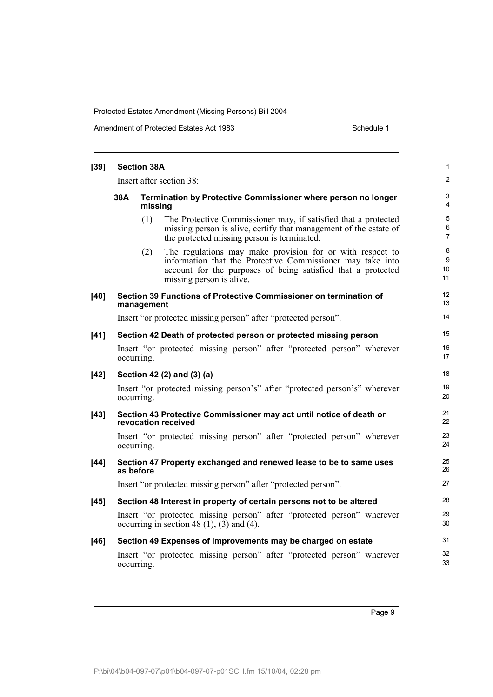Amendment of Protected Estates Act 1983 Schedule 1

| $[39]$ | <b>Section 38A</b>       |            |                                                                                                                                                                                                                     |                    |  |
|--------|--------------------------|------------|---------------------------------------------------------------------------------------------------------------------------------------------------------------------------------------------------------------------|--------------------|--|
|        | Insert after section 38: |            |                                                                                                                                                                                                                     |                    |  |
|        | 38A                      | missing    | Termination by Protective Commissioner where person no longer                                                                                                                                                       | 3<br>4             |  |
|        |                          | (1)        | The Protective Commissioner may, if satisfied that a protected<br>missing person is alive, certify that management of the estate of<br>the protected missing person is terminated.                                  | 5<br>6<br>7        |  |
|        |                          | (2)        | The regulations may make provision for or with respect to<br>information that the Protective Commissioner may take into<br>account for the purposes of being satisfied that a protected<br>missing person is alive. | 8<br>9<br>10<br>11 |  |
| $[40]$ |                          | management | Section 39 Functions of Protective Commissioner on termination of                                                                                                                                                   | 12<br>13           |  |
|        |                          |            | Insert "or protected missing person" after "protected person".                                                                                                                                                      | 14                 |  |
| [41]   |                          |            | Section 42 Death of protected person or protected missing person                                                                                                                                                    | 15                 |  |
|        |                          | occurring. | Insert "or protected missing person" after "protected person" wherever                                                                                                                                              | 16<br>17           |  |
| $[42]$ |                          |            | Section 42 (2) and (3) (a)                                                                                                                                                                                          | 18                 |  |
|        |                          | occurring. | Insert "or protected missing person's" after "protected person's" wherever                                                                                                                                          | 19<br>20           |  |
| $[43]$ |                          |            | Section 43 Protective Commissioner may act until notice of death or<br>revocation received                                                                                                                          | 21<br>22           |  |
|        |                          | occurring. | Insert "or protected missing person" after "protected person" wherever                                                                                                                                              | 23<br>24           |  |
| $[44]$ |                          | as before  | Section 47 Property exchanged and renewed lease to be to same uses                                                                                                                                                  | 25<br>26           |  |
|        |                          |            | Insert "or protected missing person" after "protected person".                                                                                                                                                      | 27                 |  |
| $[45]$ |                          |            | Section 48 Interest in property of certain persons not to be altered                                                                                                                                                | 28                 |  |
|        |                          |            | Insert "or protected missing person" after "protected person" wherever<br>occurring in section 48 $(1)$ , $(3)$ and $(4)$ .                                                                                         | 29<br>30           |  |
| $[46]$ |                          |            | Section 49 Expenses of improvements may be charged on estate                                                                                                                                                        | 31                 |  |
|        |                          | occurring. | Insert "or protected missing person" after "protected person" wherever                                                                                                                                              | 32<br>33           |  |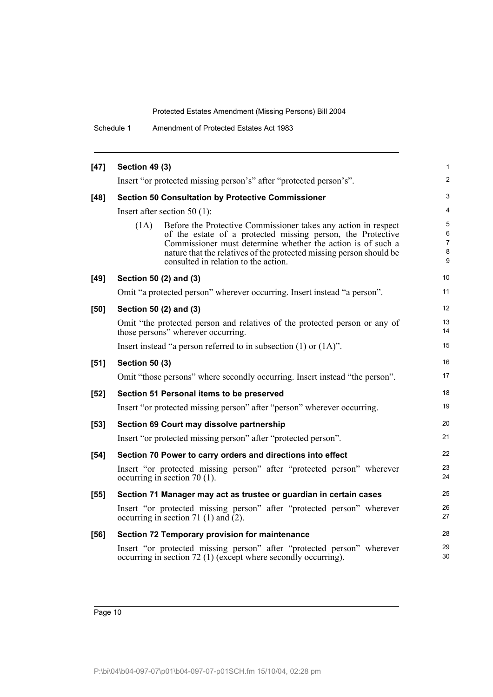Schedule 1 Amendment of Protected Estates Act 1983

| $[47]$ | <b>Section 49 (3)</b>                   |                                                                                                                                                                                                                                                                                                             | 1                     |
|--------|-----------------------------------------|-------------------------------------------------------------------------------------------------------------------------------------------------------------------------------------------------------------------------------------------------------------------------------------------------------------|-----------------------|
|        |                                         | Insert "or protected missing person's" after "protected person's".                                                                                                                                                                                                                                          | $\overline{c}$        |
| $[48]$ |                                         | <b>Section 50 Consultation by Protective Commissioner</b>                                                                                                                                                                                                                                                   | 3                     |
|        | Insert after section 50 $(1)$ :         |                                                                                                                                                                                                                                                                                                             | 4                     |
|        | (1A)                                    | Before the Protective Commissioner takes any action in respect<br>of the estate of a protected missing person, the Protective<br>Commissioner must determine whether the action is of such a<br>nature that the relatives of the protected missing person should be<br>consulted in relation to the action. | 5<br>6<br>7<br>8<br>9 |
| $[49]$ | Section 50 (2) and (3)                  |                                                                                                                                                                                                                                                                                                             | 10                    |
|        |                                         | Omit "a protected person" wherever occurring. Insert instead "a person".                                                                                                                                                                                                                                    | 11                    |
| [50]   | Section 50 (2) and (3)                  |                                                                                                                                                                                                                                                                                                             | 12                    |
|        | those persons" wherever occurring.      | Omit "the protected person and relatives of the protected person or any of                                                                                                                                                                                                                                  | 13<br>14              |
|        |                                         | Insert instead "a person referred to in subsection $(1)$ or $(1A)$ ".                                                                                                                                                                                                                                       | 15                    |
| [51]   | <b>Section 50 (3)</b>                   |                                                                                                                                                                                                                                                                                                             | 16                    |
|        |                                         | Omit "those persons" where secondly occurring. Insert instead "the person".                                                                                                                                                                                                                                 | 17                    |
| $[52]$ |                                         | Section 51 Personal items to be preserved                                                                                                                                                                                                                                                                   | 18                    |
|        |                                         | Insert "or protected missing person" after "person" wherever occurring.                                                                                                                                                                                                                                     | 19                    |
| $[53]$ |                                         | Section 69 Court may dissolve partnership                                                                                                                                                                                                                                                                   | 20                    |
|        |                                         | Insert "or protected missing person" after "protected person".                                                                                                                                                                                                                                              | 21                    |
| $[54]$ |                                         | Section 70 Power to carry orders and directions into effect                                                                                                                                                                                                                                                 | 22                    |
|        | occurring in section $70(1)$ .          | Insert "or protected missing person" after "protected person" wherever                                                                                                                                                                                                                                      | 23<br>24              |
| $[55]$ |                                         | Section 71 Manager may act as trustee or guardian in certain cases                                                                                                                                                                                                                                          | 25                    |
|        | occurring in section 71 (1) and $(2)$ . | Insert "or protected missing person" after "protected person" wherever                                                                                                                                                                                                                                      | 26<br>27              |
| $[56]$ |                                         | Section 72 Temporary provision for maintenance                                                                                                                                                                                                                                                              | 28                    |
|        |                                         | Insert "or protected missing person" after "protected person" wherever<br>occurring in section 72 (1) (except where secondly occurring).                                                                                                                                                                    | 29<br>30              |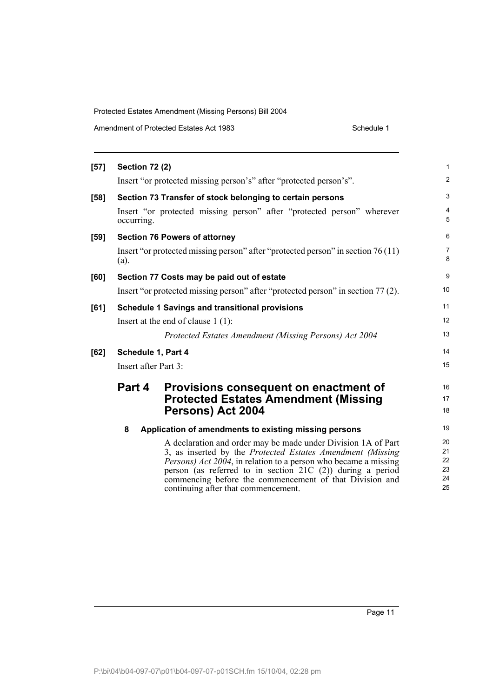| Amendment of Protected Estates Act 1983 | Schedule 1 |
|-----------------------------------------|------------|
|-----------------------------------------|------------|

| $[57]$ | <b>Section 72 (2)</b> |                                                                                                                                                                                                                                                                                                                                                                           | 1                                |
|--------|-----------------------|---------------------------------------------------------------------------------------------------------------------------------------------------------------------------------------------------------------------------------------------------------------------------------------------------------------------------------------------------------------------------|----------------------------------|
|        |                       | Insert "or protected missing person's" after "protected person's".                                                                                                                                                                                                                                                                                                        | $\overline{2}$                   |
| [58]   |                       | Section 73 Transfer of stock belonging to certain persons                                                                                                                                                                                                                                                                                                                 | 3                                |
|        | occurring.            | Insert "or protected missing person" after "protected person" wherever                                                                                                                                                                                                                                                                                                    | 4<br>5                           |
| [59]   |                       | <b>Section 76 Powers of attorney</b>                                                                                                                                                                                                                                                                                                                                      | 6                                |
|        | (a).                  | Insert "or protected missing person" after "protected person" in section 76 (11)                                                                                                                                                                                                                                                                                          | 7<br>8                           |
| [60]   |                       | Section 77 Costs may be paid out of estate                                                                                                                                                                                                                                                                                                                                | 9                                |
|        |                       | Insert "or protected missing person" after "protected person" in section 77 (2).                                                                                                                                                                                                                                                                                          | 10                               |
| [61]   |                       | <b>Schedule 1 Savings and transitional provisions</b>                                                                                                                                                                                                                                                                                                                     | 11                               |
|        |                       | Insert at the end of clause $1(1)$ :                                                                                                                                                                                                                                                                                                                                      | 12                               |
|        |                       | Protected Estates Amendment (Missing Persons) Act 2004                                                                                                                                                                                                                                                                                                                    | 13                               |
| [62]   | Schedule 1, Part 4    |                                                                                                                                                                                                                                                                                                                                                                           | 14                               |
|        | Insert after Part 3:  |                                                                                                                                                                                                                                                                                                                                                                           | 15                               |
|        | Part 4                | Provisions consequent on enactment of                                                                                                                                                                                                                                                                                                                                     | 16                               |
|        |                       | <b>Protected Estates Amendment (Missing</b>                                                                                                                                                                                                                                                                                                                               | 17                               |
|        |                       | Persons) Act 2004                                                                                                                                                                                                                                                                                                                                                         | 18                               |
|        | 8                     | Application of amendments to existing missing persons                                                                                                                                                                                                                                                                                                                     | 19                               |
|        |                       | A declaration and order may be made under Division 1A of Part<br>3, as inserted by the Protected Estates Amendment (Missing)<br><i>Persons) Act 2004</i> , in relation to a person who became a missing<br>person (as referred to in section $21C(2)$ ) during a period<br>commencing before the commencement of that Division and<br>continuing after that commencement. | 20<br>21<br>22<br>23<br>24<br>25 |